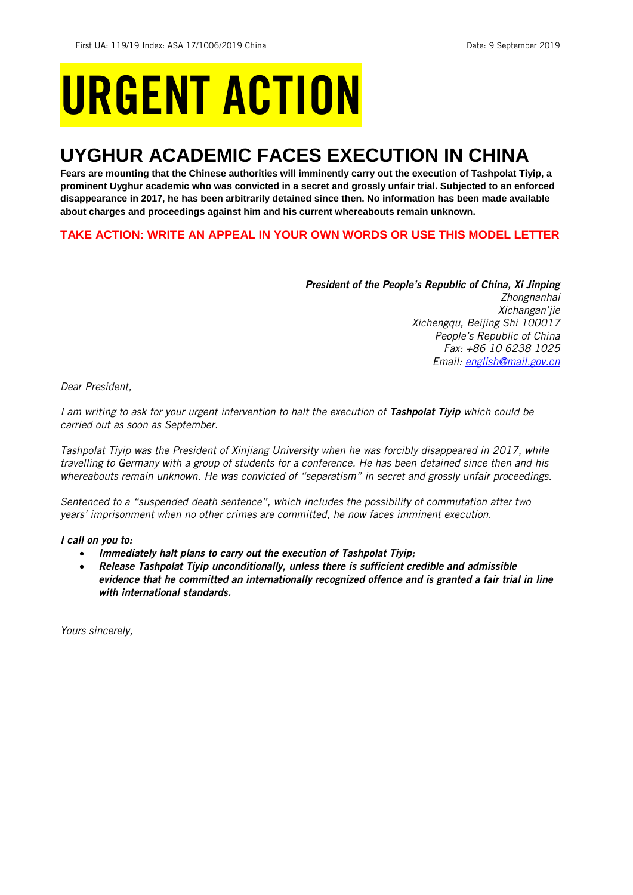## URGENT ACTION

## **UYGHUR ACADEMIC FACES EXECUTION IN CHINA**

**Fears are mounting that the Chinese authorities will imminently carry out the execution of Tashpolat Tiyip, a prominent Uyghur academic who was convicted in a secret and grossly unfair trial. Subjected to an enforced disappearance in 2017, he has been arbitrarily detained since then. No information has been made available about charges and proceedings against him and his current whereabouts remain unknown.** 

**TAKE ACTION: WRITE AN APPEAL IN YOUR OWN WORDS OR USE THIS MODEL LETTER**

*President of the People's Republic of China, Xi Jinping Zhongnanhai Xichangan'jie Xichengqu, Beijing Shi 100017 People's Republic of China Fax: +86 10 6238 1025 Email: [english@mail.gov.cn](mailto:english@mail.gov.cn)*

*Dear President,*

*I am writing to ask for your urgent intervention to halt the execution of Tashpolat Tiyip which could be carried out as soon as September.* 

*Tashpolat Tiyip was the President of Xinjiang University when he was forcibly disappeared in 2017, while travelling to Germany with a group of students for a conference. He has been detained since then and his whereabouts remain unknown. He was convicted of "separatism" in secret and grossly unfair proceedings.* 

*Sentenced to a "suspended death sentence", which includes the possibility of commutation after two years' imprisonment when no other crimes are committed, he now faces imminent execution.* 

*I call on you to:*

- *Immediately halt plans to carry out the execution of Tashpolat Tiyip;*
- *Release Tashpolat Tiyip unconditionally, unless there is sufficient credible and admissible evidence that he committed an internationally recognized offence and is granted a fair trial in line with international standards.*

*Yours sincerely,*